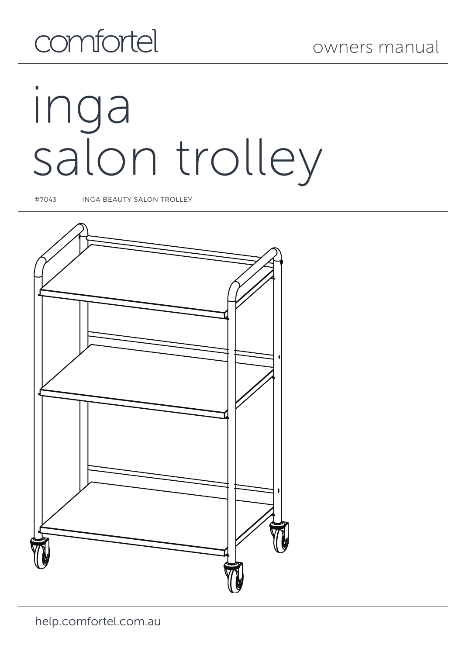# comfortel

# inga salon trolley

#7043 INGA BEAUTY SALON TROLLEY

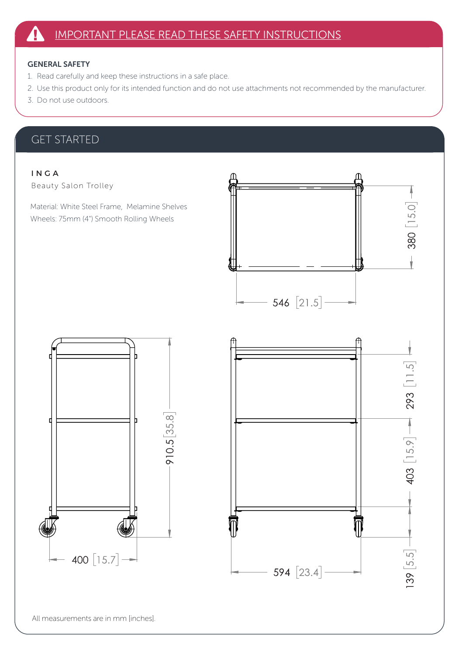#### GENERAL SAFETY

- 1. Read carefully and keep these instructions in a safe place.
- 2. Use this product only for its intended function and do not use attachments not recommended by the manufacturer.
- 3. Do not use outdoors.

#### GET STARTED

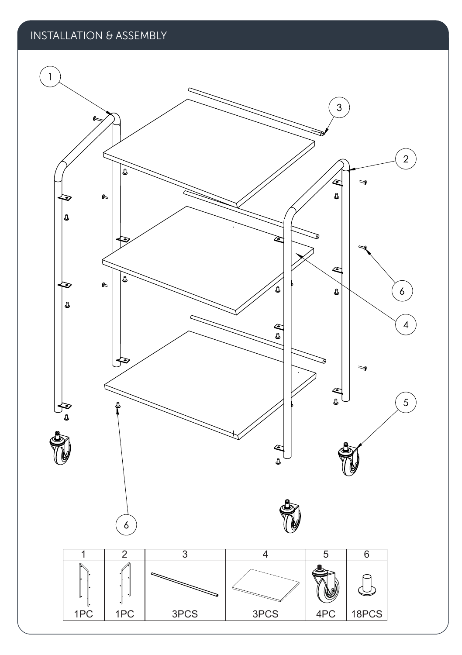### INSTALLATION & ASSEMBLY